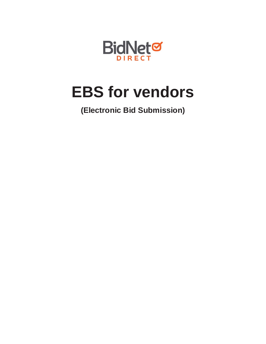

# **EBS for vendors**

**(Electronic Bid Submission)**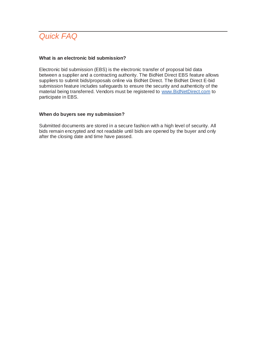

### **What is an electronic bid submission?**

Electronic bid submission (EBS) is the electronic transfer of proposal bid data between a supplier and a contracting authority. The BidNet Direct EBS feature allows suppliers to submit bids/proposals online via BidNet Direct. The BidNet Direct E-bid submission feature includes safeguards to ensure the security and authenticity of the material being transferred. Vendors must be registered to www.BidNetDirect.com to participate in EBS.

#### **When do buyers see my submission?**

Submitted documents are stored in a secure fashion with a high level of security. All bids remain encrypted and not readable until bids are opened by the buyer and only after the closing date and time have passed.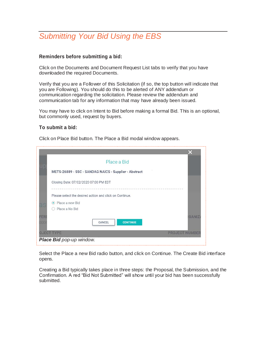## *Submitting Your Bid Using the EBS*

### **Reminders before submitting a bid:**

Click on the Documents and Document Request List tabs to verify that you have downloaded the required Documents.

Verify that you are a Follower of this Solicitation (if so, the top button will indicate that you are Following). You should do this to be alerted of ANY addendum or communication regarding the solicitation. Please review the addendum and communication tab for any information that may have already been issued.

You may have to click on Intent to Bid before making a formal Bid. This is an optional, but commonly used, request by buyers.

### **To submit a bid:**

Click on Place Bid button. The Place a Bid modal window appears.

|     | Place a Bid                                             |              |
|-----|---------------------------------------------------------|--------------|
|     | METS-26889 - SSC - SANDAG NAICS - Supplier - Abstract   |              |
|     | Closing Date: 07/02/2020 07:00 PM EDT                   |              |
|     |                                                         |              |
|     | Please select the desired action and click on Continue. |              |
|     | • Place a new Bid                                       |              |
|     | Place a No Bid                                          |              |
| FER | CANCEL<br><b>CONTINUE</b>                               | <b>GANIZ</b> |
|     |                                                         |              |
|     | <b>OJECT TYPE</b><br><b>PROJECT NUMBER</b>              |              |
|     | Place Bid pop-up window.                                |              |

Select the Place a new Bid radio button, and click on Continue. The Create Bid interface opens.

Creating a Bid typically takes place in three steps: the Proposal, the Submission, and the Confirmation. A red "Bid Not Submitted" will show until your bid has been successfully submitted.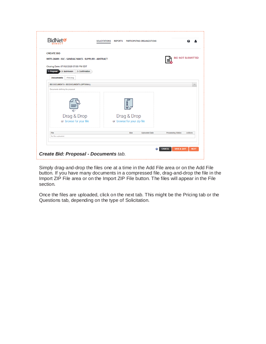| <b>CREATE BID</b>                                     |                         |                             |                      |                          |         |
|-------------------------------------------------------|-------------------------|-----------------------------|----------------------|--------------------------|---------|
| METS-26889 - SSC - SANDAG NAICS - SUPPLIER - ABSTRACT |                         |                             |                      | <b>BID NOT SUBMITTED</b> |         |
|                                                       |                         |                             |                      |                          |         |
| Closing Date: 07/02/2020 07:00 PM EDT                 |                         |                             |                      |                          |         |
| 1- Proposal<br>2- Submission                          | 3- Confirmation         |                             |                      |                          |         |
| <b>Documents</b><br>Pricing                           |                         |                             |                      |                          |         |
| BID DOCUMENTS - BID DOCUMENTS (OPTIONAL)              |                         |                             |                      |                          | ∧       |
| Documents defining the proposal                       |                         |                             |                      |                          |         |
|                                                       |                         |                             |                      |                          |         |
|                                                       |                         |                             |                      |                          |         |
|                                                       |                         | <b>ZIP</b>                  |                      |                          |         |
|                                                       |                         | まる                          |                      |                          |         |
|                                                       |                         |                             |                      |                          |         |
|                                                       |                         |                             |                      |                          |         |
|                                                       | Drag & Drop             | Drag & Drop                 |                      |                          |         |
|                                                       | or browse for your file | or browse for your zip file |                      |                          |         |
|                                                       |                         |                             |                      |                          |         |
| File                                                  |                         | Size                        | <b>Uploaded Date</b> | Processing Status        | Actions |
| No files uploaded.                                    |                         |                             |                      |                          |         |
|                                                       |                         |                             |                      |                          |         |

Simply drag-and-drop the files one at a time in the Add File area or on the Add File button. If you have many documents in a compressed file, drag-and-drop the file in the Import ZIP File area or on the Import ZIP File button. The files will appear in the File section.

Once the files are uploaded, click on the next tab. This might be the Pricing tab or the Questions tab, depending on the type of Solicitation.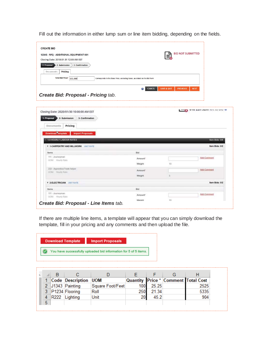Fill out the information in either lump sum or line item bidding, depending on the fields.

| <b>CREATE BID</b><br>12345 - RFQ - ADDITIONAL EQUIPMENT 001<br>Closing Date: 2018-01-31 12:00 AM EST<br>1- Proposal<br>2- Submission<br>3- Confirmation | <b>BID NOT SUBMITTED</b><br>≡.                                                 |
|---------------------------------------------------------------------------------------------------------------------------------------------------------|--------------------------------------------------------------------------------|
| Pricing<br>Documents<br><b>Total Bid Price*</b><br>100,000                                                                                              | Corresponds to the Base Price, excluding taxes, as stated on the Bid Form      |
| Create Bid: Proposal - Pricing tab.                                                                                                                     | <b>SAVE &amp; QUIT</b><br><b>CANCEL</b><br><b>PREVIOUS</b><br><b>NEXT</b><br>ℯ |

| Closing Date: 2020/01/30 10:00:00 AM EST          |                     | $\sim$ | ATA PER APRILIER AN INF |
|---------------------------------------------------|---------------------|--------|-------------------------|
| 2- Submission<br>3- Confirmation<br>1- Proposal   |                     |        |                         |
| Pricing<br>Documents                              |                     |        |                         |
| Download cemplate<br><b>Import Proposals</b>      |                     |        |                         |
| <b>1.0 HOURLY LABOUR RATES</b>                    |                     |        | Item Bids: 0/8          |
| <b>T 1-CARPENTRY AND MILLWORK UNIT RATE</b>       |                     |        | Item Bids: 0/2          |
| <b>Items</b>                                      | Bid                 |        |                         |
| 111 - Journeyman<br>UOM: Hourly Rate              | Amount              |        | Add Comment             |
|                                                   | Weight              | 10     |                         |
| 222 - Apprentice/Trade helper<br>UOM: Houtly Rate | Amount <sup>*</sup> |        | Add Comment             |
|                                                   | Weight              | ĸ      |                         |
| <b># 2-ELECTRICIAN UNIT RATE</b>                  |                     |        | Item Bids: 0/2          |
| <b>Items</b>                                      | Bid                 |        |                         |
| 111 - Journeyman<br>UOM: Hourly Rate              | Amount <sup>*</sup> |        | Add Comment             |
|                                                   | Weinht              | 10     |                         |

If there are multiple line items, a template will appear that you can simply download the template, fill in your pricing and any comments and then upload the file.

| <b>Download Template</b>                                         | <b>Import Proposals</b> |  |  |  |  |
|------------------------------------------------------------------|-------------------------|--|--|--|--|
| You have successfully uploaded bid information for 5 of 5 items. |                         |  |  |  |  |

|    |      | 1 Code Description | <b>UOM</b>       |     |       | <b>Quantity Price * Comment Total Cost</b> |      |
|----|------|--------------------|------------------|-----|-------|--------------------------------------------|------|
|    |      | 2 J1343 Painting   | Square Foot/Feet | 100 | 25.25 |                                            | 2525 |
|    |      | 3 P1234 Flooring   | Roll             | 250 | 21.34 |                                            | 5335 |
| 4  | R222 | Lighting           | Unit             | 20  | 45.2  |                                            | 904  |
| 5. |      |                    |                  |     |       |                                            |      |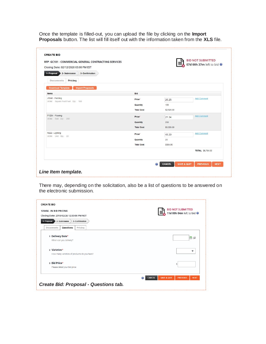Once the template is filled-out, you can upload the file by clicking on the **Import Proposals** button. The list will fill itself out with the information taken from the **XLS** file.

| Closing Date: 02/12/2020 03:00 PM EST<br>1- Proposal<br>2- Submission<br>3- Confirmation |                   |            | 07d 00h 37m left to bid |  |
|------------------------------------------------------------------------------------------|-------------------|------------|-------------------------|--|
| <b>Pricing</b><br>Documents                                                              |                   |            |                         |  |
| <b>Download Template</b><br><b>Import Proposals</b>                                      |                   |            |                         |  |
| Items                                                                                    | <b>Bid</b>        |            |                         |  |
| J1343 - Painting<br>UOM: Square Foot/Feet Qty: 100                                       | Price*            | 25.25      | <b>Add Comment</b>      |  |
|                                                                                          | Quantity          | 100        |                         |  |
|                                                                                          | <b>Total Cost</b> | \$2,525.00 |                         |  |
| P1234 - Flooring<br>UOM: Roll Qty: 250                                                   | Price*            | 21.34      | <b>Add Comment</b>      |  |
|                                                                                          | Quantity          | 250        |                         |  |
|                                                                                          | <b>Total Cost</b> | \$5,335.00 |                         |  |
| R222 - Lighting<br>UOM: Unit Qty: 20                                                     | Price*            | 45.20      | <b>Add Comment</b>      |  |
|                                                                                          | Quantity          | 20         |                         |  |
|                                                                                          | <b>Total Cost</b> | \$904.00   |                         |  |
|                                                                                          |                   |            | <b>TOTAL \$8,764.00</b> |  |
|                                                                                          |                   |            |                         |  |

There may, depending on the solicitation, also be a list of questions to be answered on the electronic submission.

| <b>CREATE BID</b>                               |                                                                           |
|-------------------------------------------------|---------------------------------------------------------------------------|
| 123456 - IN BID PRICING                         | <b>BID NOT SUBMITTED</b><br>11d 00h 04m left to bid                       |
| Closing Date: 2018/02/26 12:30:00 PM NST        |                                                                           |
| 1- Proposal<br>2- Submission<br>3- Confirmation |                                                                           |
| Questions<br>Pricing<br>Documents               |                                                                           |
| 1 Delivery Date*                                | ia                                                                        |
| When can you delivery?                          |                                                                           |
| 2 Varieties*                                    | ▼                                                                         |
| How many varieties of products do you have?     |                                                                           |
| 3 Bid Price*<br>Please detail your bid price    | s                                                                         |
|                                                 | <b>SAVE &amp; QUIT</b><br><b>CANCEL</b><br><b>PREVIOUS</b><br><b>NEXT</b> |
| <b>Create Bid: Proposal - Questions tab.</b>    |                                                                           |